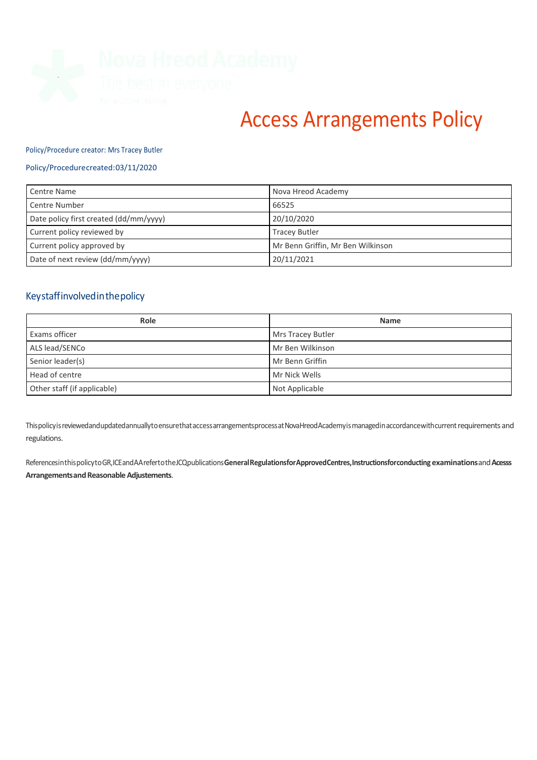

# Access Arrangements Policy

#### Policy/Procedure creator: Mrs Tracey Butler

## Policy/Procedurecreated:03/11/2020

| Centre Name                            | Nova Hreod Academy                |
|----------------------------------------|-----------------------------------|
| Centre Number                          | 66525                             |
| Date policy first created (dd/mm/yyyy) | 20/10/2020                        |
| Current policy reviewed by             | <b>Tracey Butler</b>              |
| Current policy approved by             | Mr Benn Griffin, Mr Ben Wilkinson |
| Date of next review (dd/mm/yyyy)       | 20/11/2021                        |

# Keystaffinvolvedinthepolicy

| Role                        | <b>Name</b>       |
|-----------------------------|-------------------|
| Exams officer               | Mrs Tracey Butler |
| ALS lead/SENCo              | Mr Ben Wilkinson  |
| Senior leader(s)            | Mr Benn Griffin   |
| Head of centre              | Mr Nick Wells     |
| Other staff (if applicable) | Not Applicable    |

ThispolicyisreviewedandupdatedannuallytoensurethataccessarrangementsprocessatNovaHreodAcademyismanagedinaccordancewithcurrent requirements and regulations.

ReferencesinthispolicytoGR,ICEandAArefertotheJCQpublications**GeneralRegulationsforApprovedCentres,Instructionsforconducting examinations**and**Acesss** Arrangements and Reasonable Adjustements.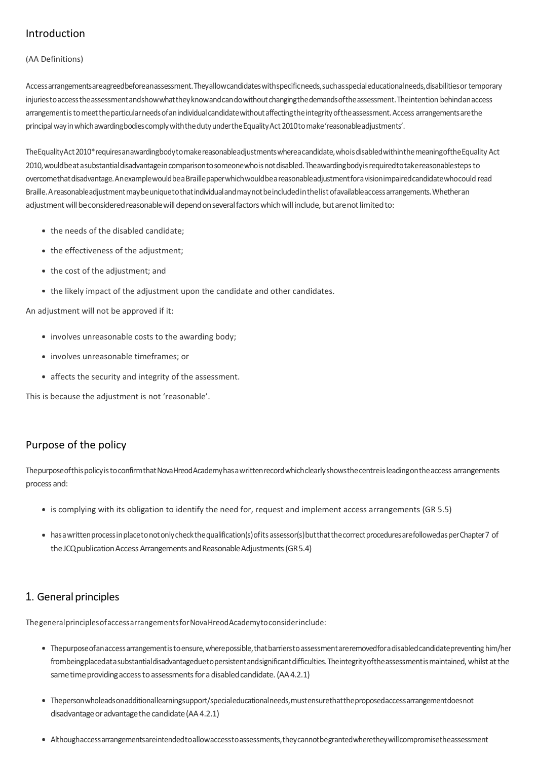# Introduction

## (AA Definitions)

Accessarrangementsareagreedbeforeanassessment.Theyallowcandidateswithspecificneeds,suchasspecialeducationalneeds,disabilitiesor temporary injuriestoaccesstheassessmentandshowwhattheyknowandcandowithoutchangingthedemandsoftheassessment.Theintention behindanaccess arrangement is to meet the particular needs of an individual candidate without affecting the integrity of the assessment. Access arrangements are the principal way in which awarding bodies comply with the duty under the Equality Act 2010 to make 'reasonableadjustments'.

The Equality Act 2010\*requires anawarding body to make reasonable adjustments wherea candidate, who is disabled within the meaning of the Equality Act 2010,wouldbeatasubstantialdisadvantageincomparisontosomeonewhoisnotdisabled.Theawardingbodyisrequiredtotakereasonablesteps to overcomethatdisadvantage.AnexamplewouldbeaBraillepaperwhichwouldbeareasonableadjustmentforavisionimpairedcandidatewhocould read Braille.Areasonableadjustmentmaybeuniquetothatindividualandmaynotbeincludedinthelist ofavailableaccessarrangements.Whetheran adjustment will be considered reasonable will depend on several factors which will include, but are not limited to:

- the needs of the disabled candidate;
- the effectiveness of the adjustment;
- the cost of the adjustment; and
- the likely impact of the adjustment upon the candidate and other candidates.

An adjustment will not be approved if it:

- involves unreasonable costs to the awarding body;
- involves unreasonable timeframes; or
- affects the security and integrity of the assessment.

This is because the adjustment is not 'reasonable'.

# Purpose of the policy

The purpose of this policy is to confirm that Nova Hreod Academy has a written record which clearly shows the centre is leading on the access arrangements process and:

- is complying with its obligation to identify the need for, request and implement access arrangements (GR 5.5)
- has a written process in placetonot only check the qualification(s) of its assessor(s) but that the correct procedures are followed as per Chapter 7 of the JCQ publication Access Arrangements and Reasonable Adjustments (GR 5.4)

# 1. General principles

ThegeneralprinciplesofaccessarrangementsforNovaHreodAcademytoconsiderinclude:

- Thepurposeofanaccessarrangementistoensure,wherepossible,thatbarrierstoassessmentareremovedforadisabledcandidatepreventing him/her frombeingplacedatasubstantialdisadvantageduetopersistentandsignificantdifficulties.Theintegrityoftheassessmentismaintained, whilst atthe same time providing access to assessments for a disabled candidate. (AA4.2.1)
- Thepersonwholeadsonadditionallearningsupport/specialeducationalneeds,mustensurethattheproposedaccessarrangementdoesnot disadvantage or advantage the candidate (AA4.2.1)
- Althoughaccessarrangementsareintendedtoallowaccesstoassessments,theycannotbegrantedwheretheywillcompromisetheassessment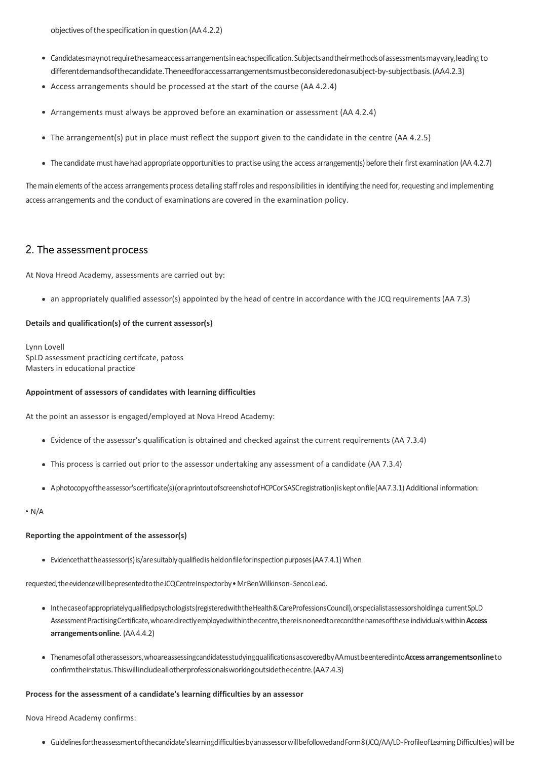objectives ofthespecificationin question(AA4.2.2)

- Candidatesmaynotrequirethesameaccessarrangementsineachspecification.Subjectsandtheirmethodsofassessmentsmayvary,leading to differentdemandsofthecandidate.Theneedforaccessarrangementsmustbeconsideredonasubject-by-subjectbasis.(AA4.2.3)
- Access arrangements should be processed at the start of the course (AA 4.2.4)
- Arrangements must always be approved before an examination or assessment (AA 4.2.4)
- The arrangement(s) put in place must reflect the support given to the candidate in the centre (AA 4.2.5)
- The candidate must have had appropriate opportunities to practise using the access arrangement(s) before their first examination (AA 4.2.7)

The main elements of the access arrangements process detailing staff roles and responsibilities in identifying the need for, requesting and implementing access arrangements and the conduct of examinations are covered in the examination policy.

## 2. The assessment process

At Nova Hreod Academy, assessments are carried out by:

an appropriately qualified assessor(s) appointed by the head of centre in accordance with the JCQ requirements (AA 7.3)

#### **Details and qualification(s) of the current assessor(s)**

Lynn Lovell SpLD assessment practicing certifcate, patoss Masters in educational practice

#### **Appointment of assessors of candidates with learning difficulties**

At the point an assessor is engaged/employed at Nova Hreod Academy:

- Evidence of the assessor's qualification is obtained and checked against the current requirements (AA 7.3.4)
- This process is carried out prior to the assessor undertaking any assessment of a candidate (AA 7.3.4)
- Aphotocopyoftheassessor'scertificate(s)(oraprintoutofscreenshotofHCPCorSASCregistration)is keptonfile(AA7.3.1) Additional information:

 $\cdot$  N/A

#### **Reporting the appointment of the assessor(s)**

Evidencethattheassessor(s)is/aresuitablyqualifiedisheldonfileforinspectionpurposes(AA7.4.1) When

requested,theevidencewillbepresentedtotheJCQCentreInspectorby•MrBenWilkinson-SencoLead.

- Inthecaseofappropriatelyqualifiedpsychologists(registeredwiththeHealth&CareProfessionsCouncil),orspecialistassessorsholdinga currentSpLD AssessmentPractisingCertificate,whoaredirectlyemployedwithinthecentre,thereisnoneedtorecordthenamesofthese individualswithin**Access arrangementsonline**. (AA4.4.2)
- Thenamesofallotherassessors,whoareassessingcandidatesstudyingqualificationsascoveredbyAAmustbeenteredinto**Access arrangementsonline**to confirmtheirstatus.Thiswillincludeallotherprofessionalsworkingoutsidethecentre.(AA7.4.3)

#### **Process for the assessment of a candidate's learning difficulties by an assessor**

Nova Hreod Academy confirms:

Guidelinesfortheassessmentofthecandidate'slearningdifficultiesbyanassessorwillbefollowedandForm8(JCQ/AA/LD-ProfileofLearning Difficulties)will be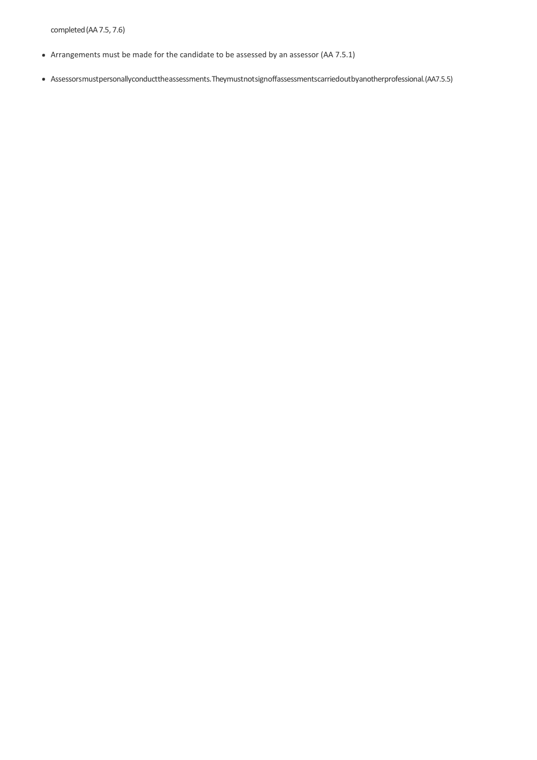completed(AA7.5, 7.6)

- Arrangements must be made for the candidate to be assessed by an assessor (AA 7.5.1)
- Assessorsmustpersonallyconducttheassessments.Theymustnotsignoffassessmentscarriedoutbyanotherprofessional.(AA7.5.5)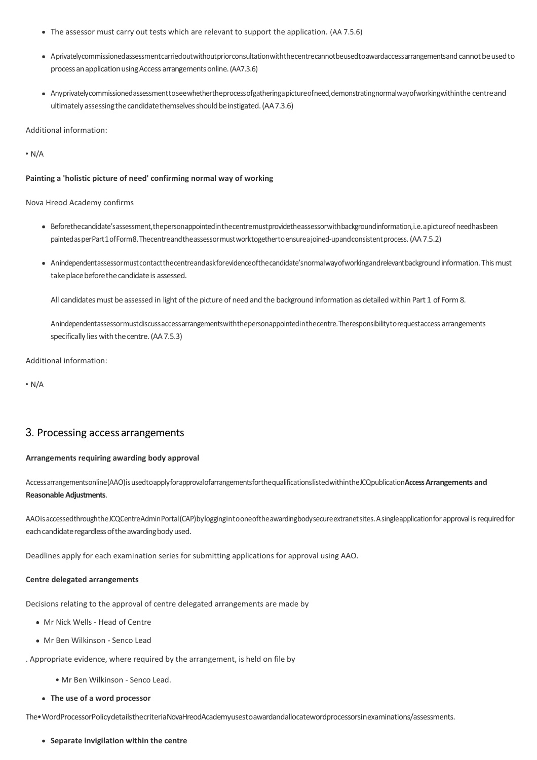- The assessor must carry out tests which are relevant to support the application. (AA 7.5.6)
- Aprivatelycommissionedassessmentcarriedoutwithoutpriorconsultationwiththecentrecannotbeusedtoawardaccessarrangementsand cannotbeusedto process an application using Access arrangements online. (AA7.3.6)
- Anyprivatelycommissionedassessmenttoseewhethertheprocessofgatheringapictureofneed,demonstratingnormalwayofworkingwithinthe centreand ultimately assessing the candidate themselves should be instigated. (AA7.3.6)

Additional information:

 $\cdot$  N/A

#### **Painting a 'holistic picture of need' confirming normal way of working**

Nova Hreod Academy confirms

- Beforethecandidate'sassessment,thepersonappointedinthecentremustprovidetheassessorwithbackgroundinformation,i.e.apictureof needhasbeen paintedasperPart1ofForm8.Thecentreandtheassessormustworktogethertoensureajoined-upandconsistentprocess. (AA7.5.2)
- Anindependentassessormustcontactthecentreandaskforevidenceofthecandidate'snormalwayofworkingandrelevantbackground information. Thismust take place before the candidate is assessed.

All candidates must be assessed in light of the picture of need and the background information as detailed within Part 1 of Form 8.

Anindependentassessormustdiscussaccessarrangementswiththepersonappointedinthecentre.Theresponsibilitytorequestaccess arrangements specifically lies with the centre. (AA 7.5.3)

Additional information:

 $\cdot$  N/A

## 3. Processing accessarrangements

#### **Arrangements requiring awarding body approval**

Accessarrangementsonline(AAO)isusedtoapplyforapprovalofarrangementsforthequalificationslistedwithintheJCQpublication**Access Arrangements and Reasonable Adjustments**.

AAOis accessed throughthe JCQCentreAdminPortal(CAP)bylogging in to one of the awarding bodysecure extranet sites. A single application for approval is required for each candidate regardless of the awarding body used.

Deadlines apply for each examination series for submitting applications for approval using AAO.

#### **Centre delegated arrangements**

Decisions relating to the approval of centre delegated arrangements are made by

- Mr Nick Wells Head of Centre
- Mr Ben Wilkinson Senco Lead
- . Appropriate evidence, where required by the arrangement, is held on file by
	- Mr Ben Wilkinson Senco Lead.
	- **The use of a word processor**

The•WordProcessorPolicydetailsthecriteriaNovaHreodAcademyusestoawardandallocatewordprocessorsinexaminations/assessments.

**Separate invigilation within the centre**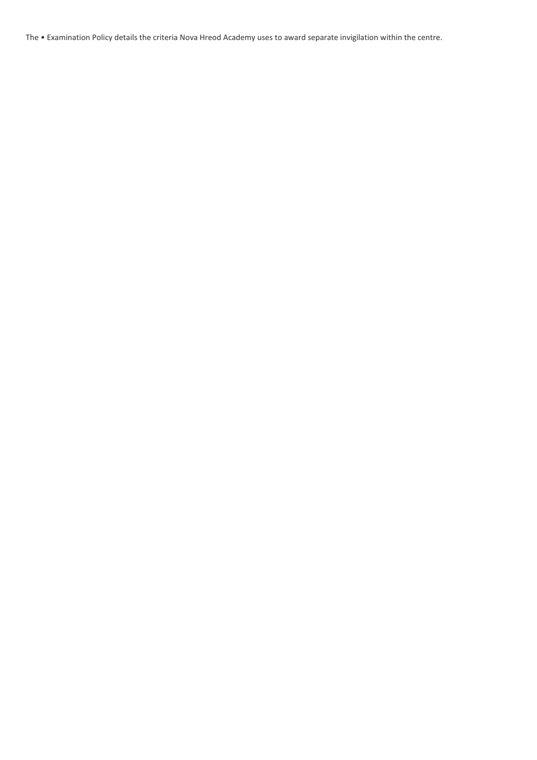The • Examination Policy details the criteria Nova Hreod Academy uses to award separate invigilation within the centre.